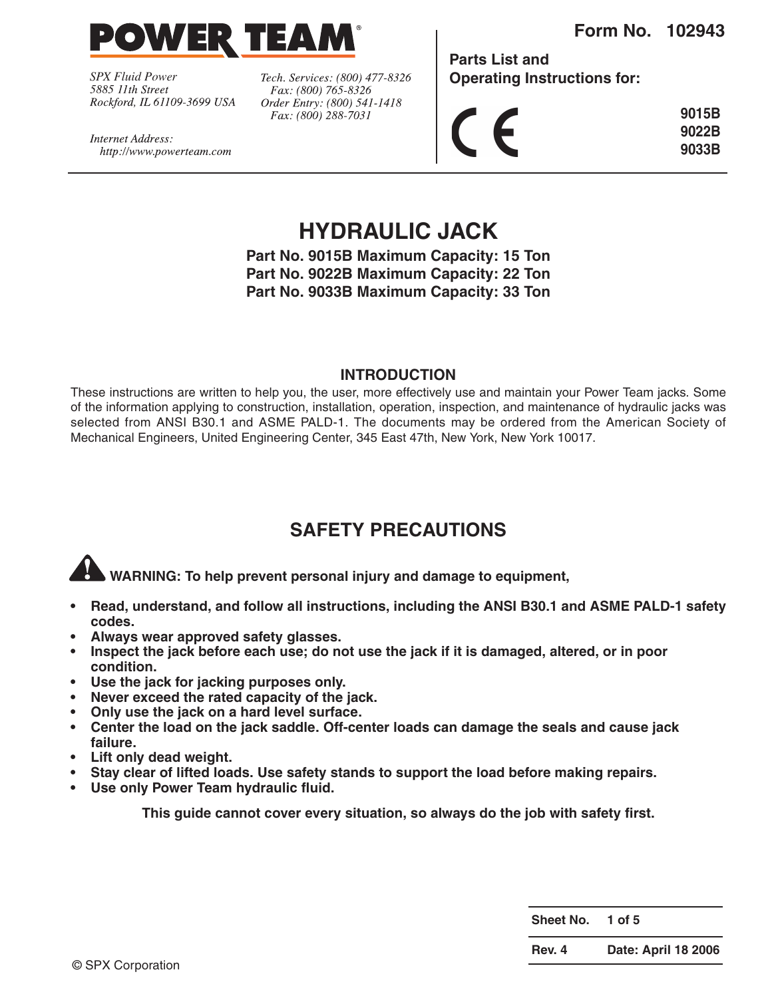

*SPX Fluid Power* Rockford, IL 61109-3699 USA

http://www.powerteam.com

Internet Address:

Tech. Services: (800) 477-8326 Fax: (800) 765-8326 Order Entry: (800) 541-1418 Fax: (800) 288-7031

**Form No. 102943**

**Parts List and Operating Instructions for:**

|  | 9015B |
|--|-------|
|  | 9022B |
|  | 9033B |

**HYDRAULIC JACK**

**Part No. 9015B Maximum Capacity: 15 Ton Part No. 9022B Maximum Capacity: 22 Ton Part No. 9033B Maximum Capacity: 33 Ton**

#### **INTRODUCTION**

These instructions are written to help you, the user, more effectively use and maintain your Power Team jacks. Some of the information applying to construction, installation, operation, inspection, and maintenance of hydraulic jacks was selected from ANSI B30.1 and ASME PALD-1. The documents may be ordered from the American Society of Mechanical Engineers, United Engineering Center, 345 East 47th, New York, New York 10017.

## **SAFETY PRECAUTIONS**

**WARNING: To help prevent personal injury and damage to equipment,** 

- **• Read, understand, and follow all instructions, including the ANSI B30.1 and ASME PALD-1 safety codes.**
- **Always wear approved safety glasses.**
- **• Inspect the jack before each use; do not use the jack if it is damaged, altered, or in poor condition.**
- **Use the jack for jacking purposes only.**
- **• Never exceed the rated capacity of the jack.**
- **Only use the jack on a hard level surface.**
- **Center the load on the jack saddle. Off-center loads can damage the seals and cause jack failure.**
- **Lift only dead weight.**
- **Stay clear of lifted loads. Use safety stands to support the load before making repairs.**
- **• Use only Power Team hydraulic fluid.**

**This guide cannot cover every situation, so always do the job with safety first.**

**Sheet No. 1 of 5**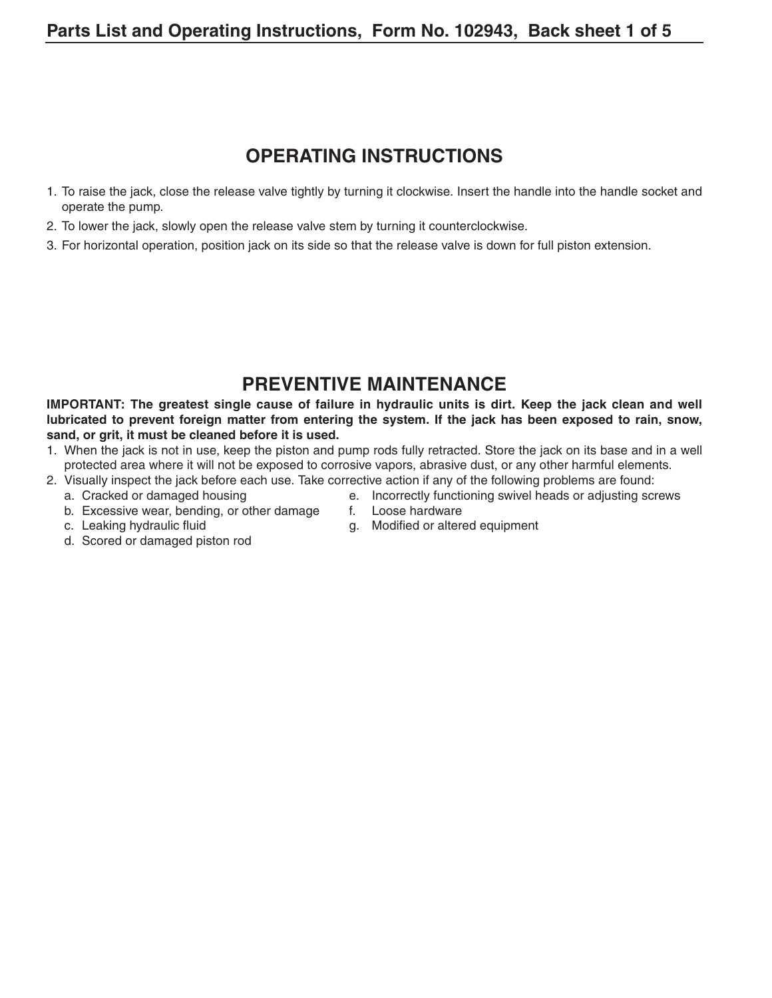## **OPERATING INSTRUCTIONS**

- 1. To raise the jack, close the release valve tightly by turning it clockwise. Insert the handle into the handle socket and operate the pump.
- 2. To lower the jack, slowly open the release valve stem by turning it counterclockwise.
- 3. For horizontal operation, position jack on its side so that the release valve is down for full piston extension.

### **PREVENTIVE MAINTENANCE**

**IMPORTANT: The greatest single cause of failure in hydraulic units is dirt. Keep the jack clean and well lubricated to prevent foreign matter from entering the system. If the jack has been exposed to rain, snow, sand, or grit, it must be cleaned before it is used.**

- 1. When the jack is not in use, keep the piston and pump rods fully retracted. Store the jack on its base and in a well protected area where it will not be exposed to corrosive vapors, abrasive dust, or any other harmful elements.
- 2. Visually inspect the jack before each use. Take corrective action if any of the following problems are found:
	- a. Cracked or damaged housing e. Incorrectly functioning swivel heads or adjusting screws
	- b. Excessive wear, bending, or other damage f. Loose hardware
- 
- 
- c. Leaking hydraulic fluid example and the set of the g. Modified or altered equipment
- d. Scored or damaged piston rod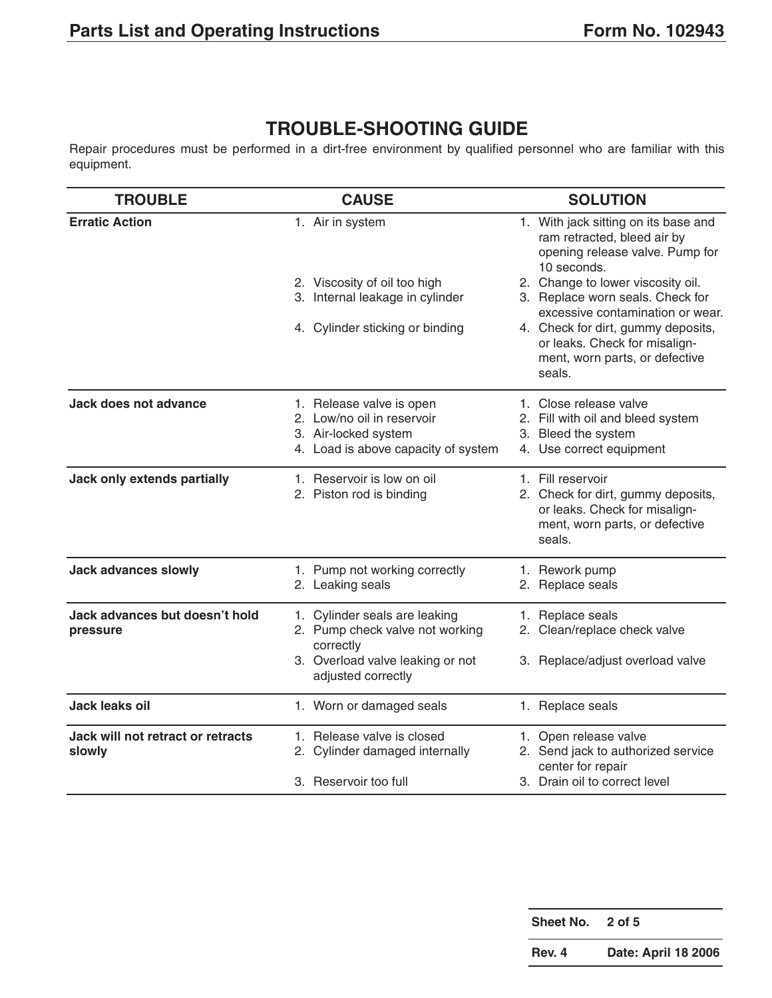# **TROUBLE-SHOOTING GUIDE**

Repair procedures must be performed in a dirt-free environment by qualified personnel who are familiar with this equipment.

| <b>TROUBLE</b>                              | <b>CAUSE</b>                                                                                                          | <b>SOLUTION</b>                                                                                                                                     |  |  |
|---------------------------------------------|-----------------------------------------------------------------------------------------------------------------------|-----------------------------------------------------------------------------------------------------------------------------------------------------|--|--|
| <b>Erratic Action</b>                       | 1. Air in system                                                                                                      | 1. With jack sitting on its base and<br>ram retracted, bleed air by<br>opening release valve. Pump for<br>10 seconds.                               |  |  |
|                                             | 2. Viscosity of oil too high<br>3. Internal leakage in cylinder                                                       | 2. Change to lower viscosity oil.<br>3. Replace worn seals. Check for                                                                               |  |  |
|                                             | 4. Cylinder sticking or binding                                                                                       | excessive contamination or wear.<br>4. Check for dirt, gummy deposits,<br>or leaks. Check for misalign-<br>ment, worn parts, or defective<br>seals. |  |  |
| Jack does not advance                       | 1. Release valve is open<br>2. Low/no oil in reservoir<br>3. Air-locked system<br>4. Load is above capacity of system | 1. Close release valve<br>2. Fill with oil and bleed system<br>3. Bleed the system<br>4. Use correct equipment                                      |  |  |
| Jack only extends partially                 | 1. Reservoir is low on oil<br>2. Piston rod is binding                                                                | 1. Fill reservoir<br>2. Check for dirt, gummy deposits,<br>or leaks. Check for misalign-<br>ment, worn parts, or defective<br>seals.                |  |  |
| <b>Jack advances slowly</b>                 | 1. Pump not working correctly<br>2. Leaking seals                                                                     | 1. Rework pump<br>2. Replace seals                                                                                                                  |  |  |
| Jack advances but doesn't hold<br>pressure  | 1. Cylinder seals are leaking<br>2. Pump check valve not working<br>correctly                                         | 1. Replace seals<br>2. Clean/replace check valve                                                                                                    |  |  |
|                                             | 3. Overload valve leaking or not<br>adjusted correctly                                                                | 3. Replace/adjust overload valve                                                                                                                    |  |  |
| Jack leaks oil                              | 1. Worn or damaged seals                                                                                              | 1. Replace seals                                                                                                                                    |  |  |
| Jack will not retract or retracts<br>slowly | 1. Release valve is closed<br>2. Cylinder damaged internally                                                          | 1. Open release valve<br>2. Send jack to authorized service<br>center for repair                                                                    |  |  |
|                                             | 3. Reservoir too full                                                                                                 | 3. Drain oil to correct level                                                                                                                       |  |  |

| Sheet No. 2 of 5 |                            |
|------------------|----------------------------|
| Rev. 4           | <b>Date: April 18 2006</b> |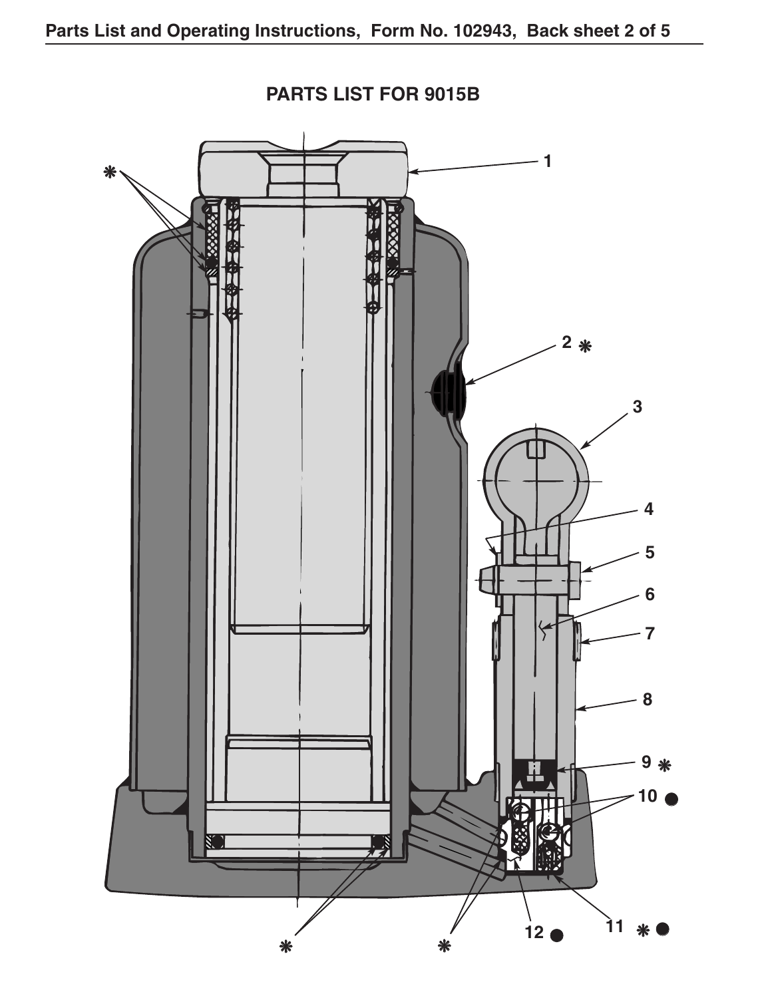

**PARTS LIST FOR 9015B**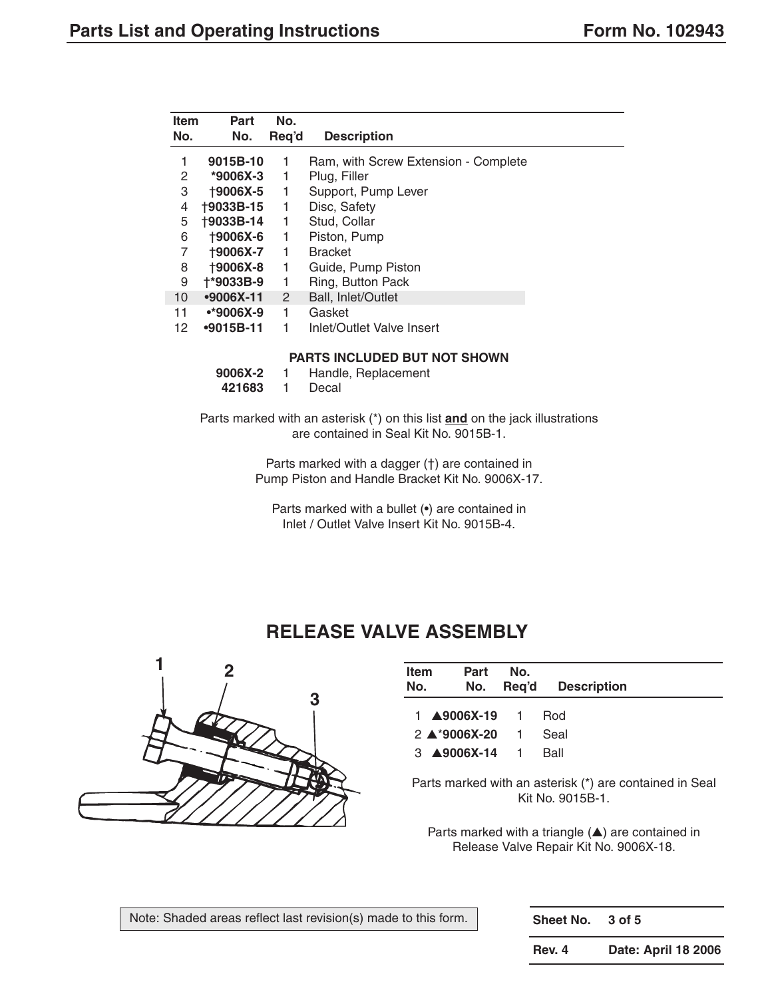| <b>Item</b><br>No. | Part<br>No.     | No.<br>Reg'd   | <b>Description</b>                   |
|--------------------|-----------------|----------------|--------------------------------------|
| 1                  | 9015B-10        | 1              | Ram, with Screw Extension - Complete |
| 2                  | $*9006X-3$      | 1              | Plug, Filler                         |
| 3                  | +9006X-5        | 1              | Support, Pump Lever                  |
| 4                  | †9033B-15       | 1              | Disc, Safety                         |
| 5                  | †9033B-14       | 1              | Stud, Collar                         |
| 6                  | <b>+9006X-6</b> | 1              | Piston, Pump                         |
| 7                  | †9006X-7        | 1              | <b>Bracket</b>                       |
| 8                  | <b>+9006X-8</b> | 1              | Guide, Pump Piston                   |
| 9                  | +*9033B-9       | 1              | Ring, Button Pack                    |
| 10                 | $-9006X-11$     | $\overline{2}$ | Ball, Inlet/Outlet                   |
| 11                 | $•*9006X-9$     | 1              | Gasket                               |
| 12                 | $•9015B-11$     | 1              | Inlet/Outlet Valve Insert            |

#### **PARTS INCLUDED BUT NOT SHOWN**

| 9006X-2 | Handle, Replacement |
|---------|---------------------|
|         |                     |

**421683** 1 Decal

Parts marked with an asterisk (\*) on this list **and** on the jack illustrations are contained in Seal Kit No. 9015B-1.

> Parts marked with a dagger (†) are contained in Pump Piston and Handle Bracket Kit No. 9006X-17.

Parts marked with a bullet (•) are contained in Inlet / Outlet Valve Insert Kit No. 9015B-4.

### **RELEASE VALVE ASSEMBLY**

![](_page_4_Picture_10.jpeg)

| Item<br>Part<br>No.<br>No.                                                        | No. | Req'd Description |
|-----------------------------------------------------------------------------------|-----|-------------------|
| 1 <b>A9006X-19</b> 1 Rod<br>$2 \triangle 9006X-20$ 1<br>3 <b>A9006X-14</b> 1 Ball |     | Seal              |

Parts marked with an asterisk (\*) are contained in Seal Kit No. 9015B-1.

Parts marked with a triangle (▲) are contained in Release Valve Repair Kit No. 9006X-18.

**Sheet No. 3 of 5**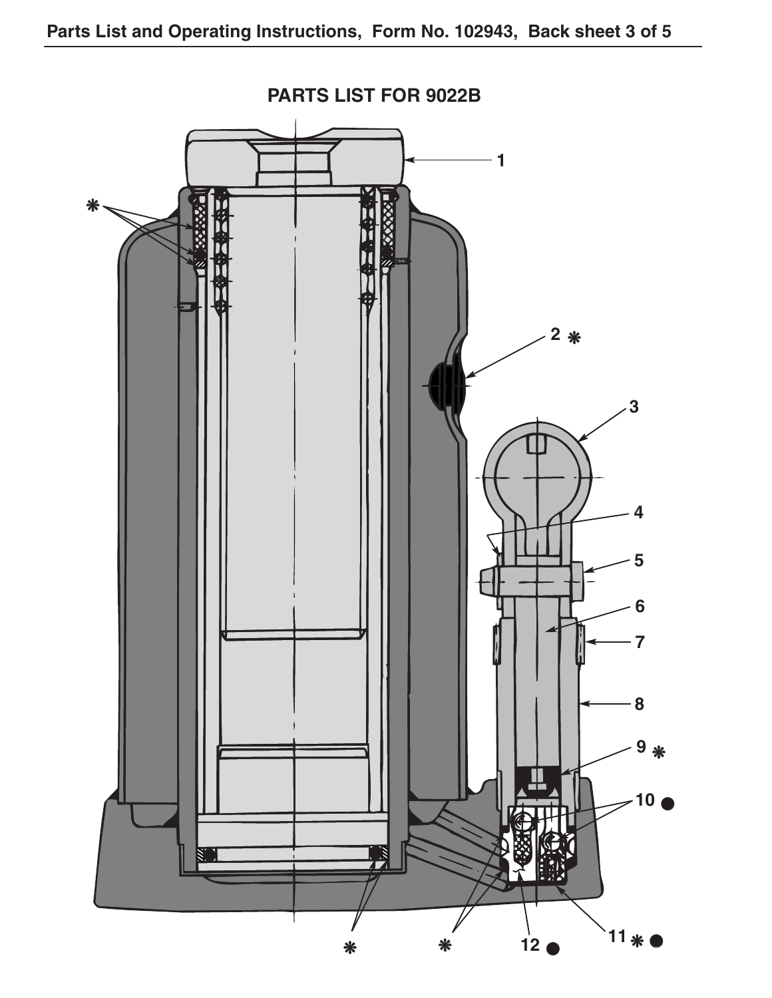![](_page_5_Figure_1.jpeg)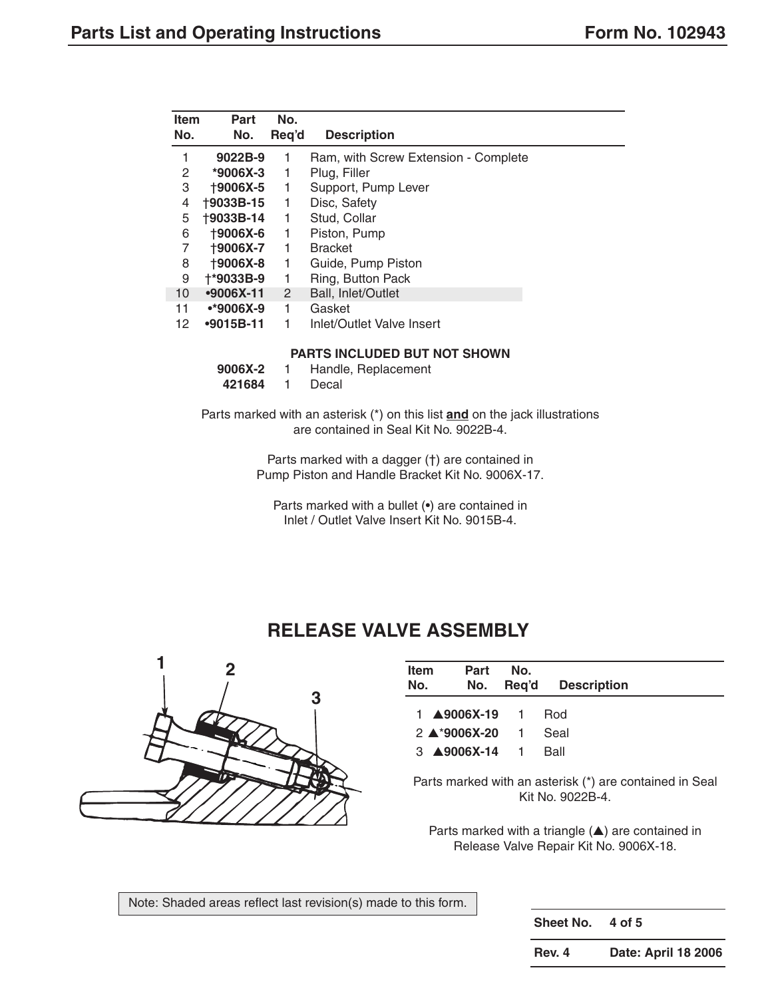| <b>Item</b><br>No. | Part<br>No.      | No.<br>Reg'd | <b>Description</b>                   |
|--------------------|------------------|--------------|--------------------------------------|
| 1                  | 9022B-9          | 1            | Ram, with Screw Extension - Complete |
| 2                  | $*9006X-3$       | 1            | Plug, Filler                         |
| 3                  | +9006X-5         | 1            | Support, Pump Lever                  |
| 4                  | <b>+9033B-15</b> | 1            | Disc, Safety                         |
| 5                  | <b>+9033B-14</b> | 1            | Stud, Collar                         |
| 6                  | <b>+9006X-6</b>  | 1            | Piston, Pump                         |
| 7                  | <b>+9006X-7</b>  | 1            | <b>Bracket</b>                       |
| 8                  | <b>+9006X-8</b>  | 1            | Guide, Pump Piston                   |
| 9                  | +*9033B-9        | 1            | Ring, Button Pack                    |
| 10                 | $•9006X-11$      | $\mathbf{2}$ | <b>Ball, Inlet/Outlet</b>            |
| 11                 | $•*9006X-9$      | 1            | Gasket                               |
| 12                 | $-9015B-11$      | 1            | Inlet/Outlet Valve Insert            |

#### **PARTS INCLUDED BUT NOT SHOWN**

| 9006X-2 | Handle, Replacement |
|---------|---------------------|
| 421684  | Decal               |

Parts marked with an asterisk (\*) on this list **and** on the jack illustrations are contained in Seal Kit No. 9022B-4.

> Parts marked with a dagger (†) are contained in Pump Piston and Handle Bracket Kit No. 9006X-17.

Parts marked with a bullet (•) are contained in Inlet / Outlet Valve Insert Kit No. 9015B-4.

## **RELEASE VALVE ASSEMBLY**

![](_page_6_Picture_9.jpeg)

| <b>Item</b><br>No. | Part<br>No.                                             | No. | Req'd Description |
|--------------------|---------------------------------------------------------|-----|-------------------|
|                    |                                                         |     | <b>Rod</b>        |
|                    | $2 \triangle 9006X - 20$ 1<br>$3 \triangle 9006$ X-14 1 |     | Seal<br>Ball      |

Parts marked with an asterisk (\*) are contained in Seal Kit No. 9022B-4.

Parts marked with a triangle (▲) are contained in Release Valve Repair Kit No. 9006X-18.

Note: Shaded areas reflect last revision(s) made to this form.

**Sheet No. 4 of 5**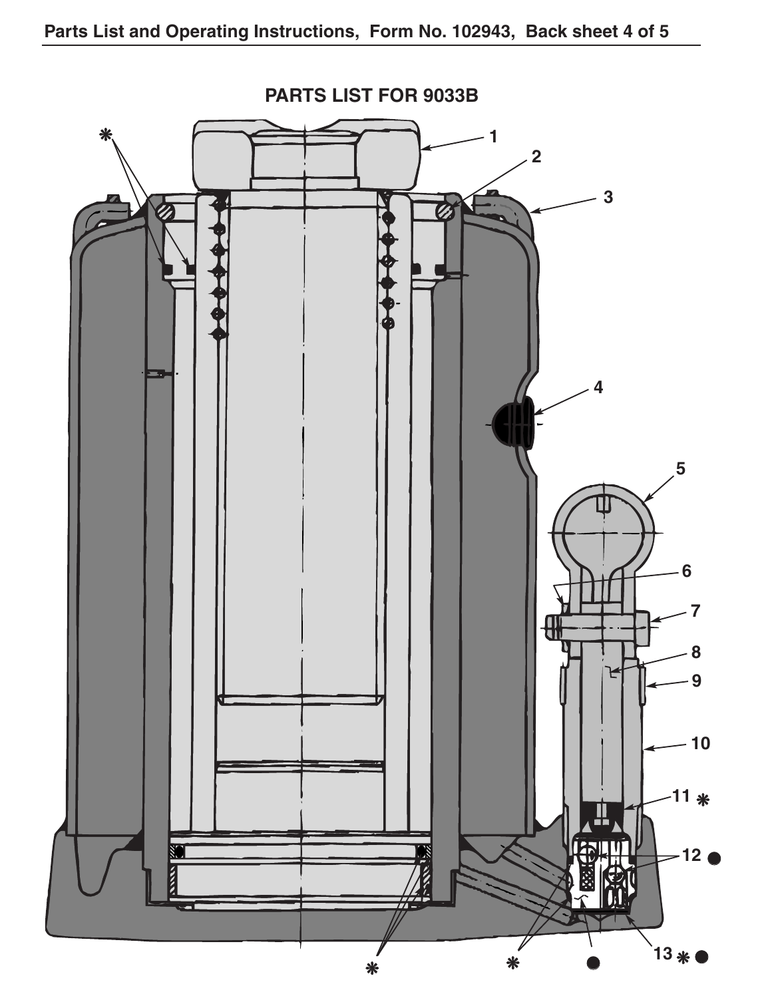![](_page_7_Figure_1.jpeg)